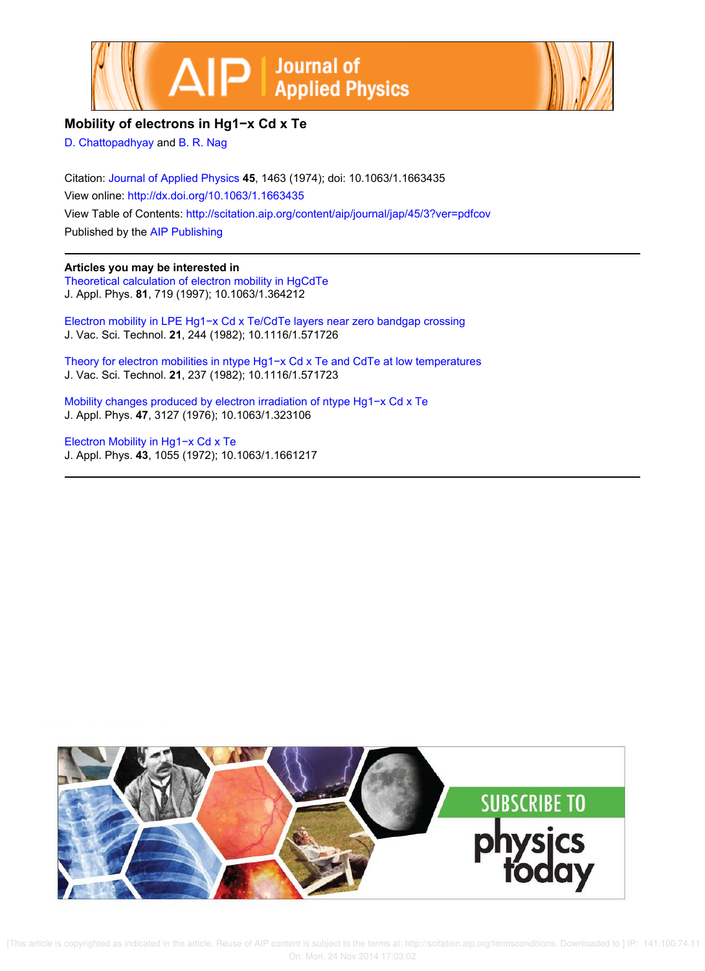



## **Mobility of electrons in Hg1−x Cd x Te**

D. Chattopadhyay and B. R. Nag

Citation: Journal of Applied Physics **45**, 1463 (1974); doi: 10.1063/1.1663435 View online: http://dx.doi.org/10.1063/1.1663435 View Table of Contents: http://scitation.aip.org/content/aip/journal/jap/45/3?ver=pdfcov Published by the AIP Publishing

## **Articles you may be interested in**

Theoretical calculation of electron mobility in HgCdTe J. Appl. Phys. **81**, 719 (1997); 10.1063/1.364212

Electron mobility in LPE Hg1−x Cd x Te/CdTe layers near zero bandgap crossing J. Vac. Sci. Technol. **21**, 244 (1982); 10.1116/1.571726

Theory for electron mobilities in ntype Hg1−x Cd x Te and CdTe at low temperatures J. Vac. Sci. Technol. **21**, 237 (1982); 10.1116/1.571723

Mobility changes produced by electron irradiation of ntype Hg1−x Cd x Te J. Appl. Phys. **47**, 3127 (1976); 10.1063/1.323106

Electron Mobility in Hg1−x Cd x Te J. Appl. Phys. **43**, 1055 (1972); 10.1063/1.1661217

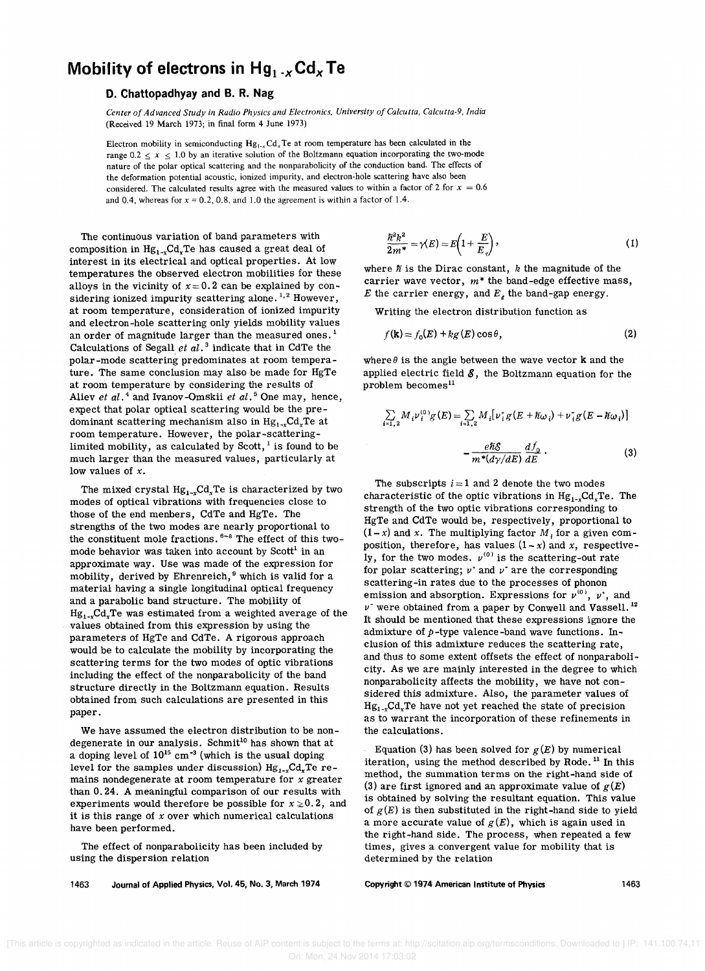## **Mobility of electrons in Hg<sub>1</sub>**  $\mathscr{A}$  **Cd<sub>x</sub> Te**

## **D. Chattopadhyay and B. R. Nag**

*Center of Advanced Study* in *Radio Physics and Electronics. University of Calcutta. Calcutta-9. India*  (Received 19 March 1973; in final form 4 June 1973)

Electron mobility in semiconducting  $Hg_{1-x}Cd_xTe$  at room temperature has been calculated in the range  $0.2 \le x \le 1.0$  by an iterative solution of the Boltzmann equation incorporating the two-mode nature of the polar optical scattering and the nonparabolicity of the conduction band. The effects of the deformation potential acoustic, ionized impurity, and electron-hole scattering have also been considered. The calculated results agree with the measured values to within a factor of 2 for  $x = 0.6$ and 0.4, whereas for  $x = 0.2$ , 0.8, and 1.0 the agreement is within a factor of 1.4.

The continuous variation of band parameters with composition in  ${\rm Hg}_{1-x}{\rm Cd}_{x}{\rm Te}$  has caused a great deal of interest in its electrical and optical properties. At low temperatures the observed electron mobilities for these alloys in the vicinity of  $x=0.2$  can be explained by considering ionized impurity scattering alone.<sup>1,2</sup> However, at room temperature, consideration of ionized impurity and electron-hole scattering only yields mobility values an order of magnitude larger than the measured ones.<sup>1</sup> Calculations of Segall *et al.* 3 indicate that in CdTe the polar-mode scattering predominates at room temperature. The same conclusion may also be made for HgTe at room temperature by considering the results of Aliev *et al.* 4 and Ivanov-Omskii *et ai.* 5 One may, hence, expect that polar optical scattering would be the predominant scattering mechanism also in  $\rm{Hg}_{1\text{-}x}\rm{Cd}_{x}\rm{Te}$  at room temperature. However, the polar-scatteringlimited mobility, as calculated by Scott, $<sup>1</sup>$  is found to be</sup> much larger than the measured values, particularly at low values of *x.* 

The mixed crystal  $Hg_{1-x}Cd_xTe$  is characterized by two modes of optical vibrations with frequencies close to those of the end menbers, CdTe and HgTe. The strengths of the two modes are nearly proportional to the constituent mole fractions. 6-8 The effect of this twomode behavior was taken into account by  $Scott<sup>1</sup>$  in an approximate way. Use was made of the expression for mobility, derived by Ehrenreich,<sup>9</sup> which is valid for a material having a single longitudinal optical frequency and a parabolic band structure. The mobility of  $Hg_{1-x}Cd_xTe$  was estimated from a weighted average of the values obtained from this expression by using the parameters of HgTe and CdTe. A rigorous approach would be to calculate the mobility by incorporating the scattering terms for the two modes of optic vibrations including the effect of the nonparabolicity of the band structure directly in the Boltzmann equation. Results obtained from such calculations are presented in this paper.

We have assumed the electron distribution to be nondegenerate in our analysis. Schmit<sup>10</sup> has shown that at a doping level of  $10^{15}$  cm<sup>-3</sup> (which is the usual doping level for the samples under discussion)  $Hg_{1-x}Cd_xTe$  remains nondegenerate at room temperature for *x* greater than 0.24. A meaningful comparison of our results with experiments would therefore be possible for  $x \ge 0.2$ , and it is this range of *x* over which numerical calculations have been performed.

The effect of nonparabolicity has been included by using the dispersion relation

1463 Journal of Applied Physics, Vol. 45, No.3, March 1974

$$
\frac{\hbar^2 k^2}{2m^*} = \gamma(E) = E\left(1 + \frac{E}{E_g}\right),\tag{1}
$$

where  $\hbar$  is the Dirac constant,  $k$  the magnitude of the carrier wave vector, *m\** the band-edge effective mass, *E* the carrier energy, and  $E<sub>g</sub>$  the band-gap energy.

Writing the electron distribution function as

$$
f(\mathbf{k}) = f_0(E) + k g(E) \cos \theta, \tag{2}
$$

where  $\theta$  is the angle between the wave vector **k** and the applied electric field  $\mathcal S$ , the Boltzmann equation for the problem becomes<sup>11</sup>

$$
\sum_{i=1,2} M_i \nu_i^{(0)} g(E) = \sum_{i=1,2} M_i [\nu_i^* g(E + \hbar \omega_i) + \nu_i^* g(E - \hbar \omega_i)]
$$

$$
- \frac{e\hbar \mathcal{E}}{m^* (d\gamma/dE)} \frac{d f_0}{dE}.
$$
(3)

The subscripts  $i = 1$  and 2 denote the two modes characteristic of the optic vibrations in  $Hg_{1-x}Cd_xTe$ . The strength of the two optic vibrations corresponding to HgTe and CdTe would be, respectively, proportional to  $(1-x)$  and *x*. The multiplying factor  $M_i$  for a given composition, therefore, has values  $(1 - x)$  and *x*, respectively, for the two modes.  $v^{(0)}$  is the scattering-out rate for polar scattering;  $\nu^*$  and  $\nu^-$  are the corresponding scattering-in rates due to the processes of phonon emission and absorption. Expressions for  $v^{(0)}$ ,  $v^*$ , and *v-* were obtained from a paper by Conwell and Vassell. <sup>12</sup> It should be mentioned that these expressions ignore the admixture of *p-type* valence-band wave functions. Inclusion of this admixture reduces the scattering rate, and thus to some extent offsets the effect of nonparabolicity. As we are mainly interested in the degree to which nonparabolicity affects the mobility, we have not con-Sidered this admixture. Also, the parameter values of *Hg1\_xCdxTe* have not yet reached the state of precision as to warrant the incorporation of these refinements in the calculations.

Equation (3) has been solved for  $g(E)$  by numerical iteration, using the method described by Rode.<sup>11</sup> In this method, the summation terms on the right-hand side of (3) are first ignored and an approximate value of  $g(E)$ is obtained by solving the resultant equation. This value of  $g(E)$  is then substituted in the right-hand side to yield a more accurate value of  $g(E)$ , which is again used in the right-hand Side. The process, when repeated a few times, gives a convergent value for mobility that is determined by the relation

Copyright © 1974 American Institute of Physics 1463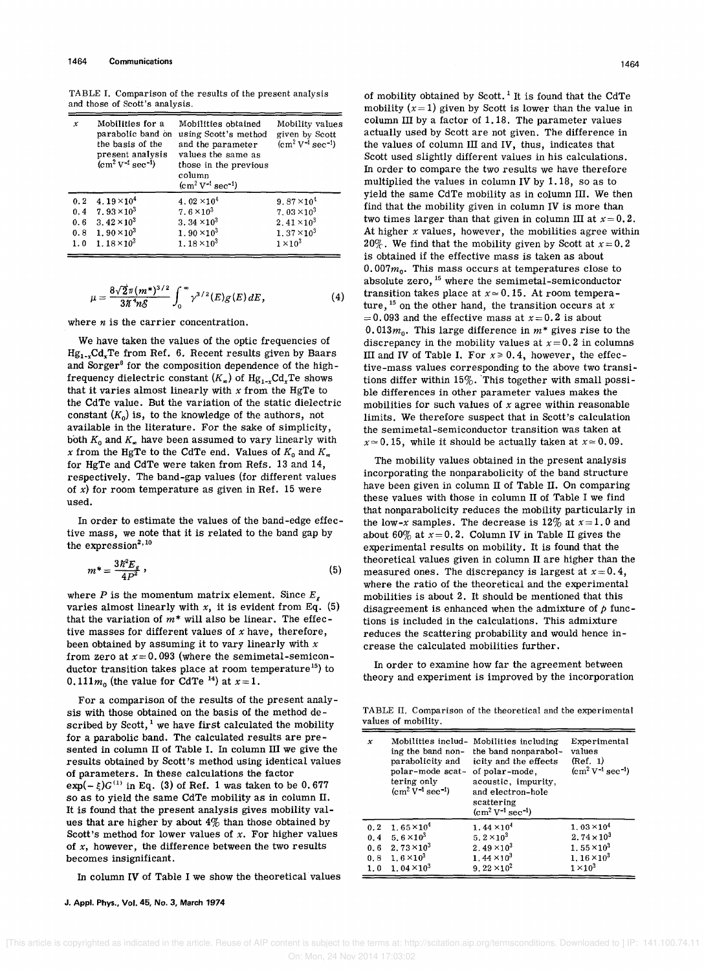TABLE 1. Comparison of the results of the present analysis and those of Scott's analysis.

| x   | Mobilities for a<br>parabolic band on<br>the basis of the<br>present analysis<br>$\rm (cm^2 V^{-1} sec^{-1})$ | Mobilities obtained<br>using Scott's method<br>and the parameter<br>values the same as<br>those in the previous<br>column<br>$\rm (cm^2 V^{-1} sec^{-1})$ | Mobility values<br>given by Scott<br>$\rm[cm^2 V^{-1} sec^{-1})$ |
|-----|---------------------------------------------------------------------------------------------------------------|-----------------------------------------------------------------------------------------------------------------------------------------------------------|------------------------------------------------------------------|
| 0.2 | 4.19 $\times$ 10 <sup>4</sup>                                                                                 | 4.02 $\times$ 10 <sup>4</sup>                                                                                                                             | 9.87 $\times$ 10 <sup>4</sup>                                    |
| 0.4 | $7.93 \times 10^3$                                                                                            | $7.6 \times 10^3$                                                                                                                                         | 7.03 $\times$ 10 <sup>3</sup>                                    |
| 0.6 | 3.42 $\times$ 10 <sup>3</sup>                                                                                 | 3.34 $\times$ 10 <sup>3</sup>                                                                                                                             | 2.41 $\times$ 10 <sup>3</sup>                                    |
| 0.8 | $1.90 \times 10^3$                                                                                            | $1.90 \times 10^3$                                                                                                                                        | 1.37 $\times$ 10 <sup>3</sup>                                    |
| 1.0 | $1.18 \times 10^3$                                                                                            | 1.18 $\times$ 10 <sup>3</sup>                                                                                                                             | $1 \times 10^3$                                                  |

$$
\mu = \frac{8\sqrt{2}\pi (m^*)^{3/2}}{3\pi^4 n \mathcal{S}} \int_0^\infty \gamma^{3/2}(E) g(E) dE, \tag{4}
$$

where *n* is the carrier concentration.

We have taken the values of the optic frequencies of *Hg<sup>1</sup> \_ <sup>x</sup>CdxTe* from Ref. 6. Recent results given by Baars and Sorger<sup>8</sup> for the composition dependence of the highfrequency dielectric constant  $(K_{\infty})$  of  $Hg_{1-x}Cd_{x}Te$  shows that it varies almost linearly with *x* from the HgTe to the CdTe value. But the variation of the static dielectric constant  $(K_0)$  is, to the knowledge of the authors, not available in the literature. For the sake of simplicity, both  $K_0$  and  $K_{\infty}$  have been assumed to vary linearly with *x* from the HgTe to the CdTe end. Values of  $K_0$  and  $K_{\infty}$ for HgTe and CdTe were taken from Refs. 13 and 14, respectively. The band-gap values (for different values of *x)* for room temperature as given in Ref. 15 were used.

In order to estimate the values of the band-edge effective mass, we note that it is related to the band gap by the  $\tt{expression}^{2,10}$ 

$$
m^* = \frac{3\hbar^2 E_s}{4P^2} \,,\tag{5}
$$

where *P* is the momentum matrix element. Since  $E_g$ varies almost linearly with  $x$ , it is evident from Eq.  $(5)$ that the variation of *m\** will also be linear. The effective masses for different values of *x* have, therefore, been obtained by assuming it to vary linearly with *x*  from zero at  $x = 0.093$  (where the semimetal-semiconductor transition takes place at room temperature<sup>15</sup>) to 0.111 $m_0$  (the value for CdTe<sup>14</sup>) at  $x=1$ .

For a comparison of the results of the present analysis with those obtained on the basis of the method described by Scott,<sup>1</sup> we have first calculated the mobility for a parabolic band. The calculated results are presented in column II of Table I. In column III we give the results obtained by Scott's method uSing identical values of parameters. In these calculations the factor  $\exp(-\xi)G^{(1)}$  in Eq. (3) of Ref. 1 was taken to be 0.677 so as to yield the same CdTe mobility as in column II. lt is found that the present analysis gives mobility values that are higher by about  $4\%$  than those obtained by Scott's method for lower values of *x.* For higher values of *x,* however, the difference between the two results becomes insignificant.

In column IV of Table I we show the theoretical values

J. Appl. Phys., Vol. 45, No.3, March 1974

of mobility obtained by Scott.<sup>1</sup> It is found that the CdTe mobility  $(x=1)$  given by Scott is lower than the value in column III by a factor of 1.18. The parameter values actually used by Scott are not given. The difference in the values of column III and IV, thus, indicates that Scott used Slightly different values in his calculations. In order to compare the two results we have therefore multiplied the values in column IV by 1.18, so as to yield the same CdTe mobility as in column III. We then find that the mobility given in column IV is more than two times larger than that given in column III at *x=0.2.*  At higher *x* values, however, the mobilities agree within 20%. We find that the mobility given by Scott at  $x=0.2$ is obtained if the effective mass is taken as about  $0.007m<sub>0</sub>$ . This mass occurs at temperatures close to absolute zero, 15 where the semimetal-semiconductor transition takes place at  $x \approx 0.15$ . At room temperature,  $15$  on the other hand, the transition occurs at  $x$  $= 0.093$  and the effective mass at  $x = 0.2$  is about 0.013 $m_0$ . This large difference in  $m^*$  gives rise to the discrepancy in the mobility values at  $x=0.2$  in columns III and IV of Table I. For  $x \ge 0.4$ , however, the effective-mass values corresponding to the above two transitions differ within 15%. 'This together with small possible differences in other parameter values makes the mobilities for such values of *x* agree within reasonable limits. We therefore suspect that in Scott's calculation the semimetal-semiconductor transition was taken at  $x \approx 0.15$ , while it should be actually taken at  $x \approx 0.09$ .

The mobility values obtained in the present analysis incorporating the nonparabolicity of the band structure have been given in column II of Table II. On comparing these values with those in column II of Table I we find that nonparabolicity reduces the mobility particularly in the low-x samples. The decrease is  $12\%$  at  $x=1.0$  and about  $60\%$  at  $x=0.2$ . Column IV in Table II gives the experimental results on mobility. It is found that the theoretical values given in column II are higher than the measured ones. The discrepancy is largest at  $x=0.4$ , where the ratio of the theoretical and the experimental mobilities is about 2. It should be mentioned that this disagreement is enhanced when the admixture of *p* functions is included in the calculations. This admixture reduces the scattering probability and would hence increase the calculated mobilities further.

In order to examine how far the agreement between theory and experiment is improved by the incorporation

TABLE II. Comparison of the theoretical and the experimental values of mobility.

| $\pmb{\mathcal{X}}$ | ing the band non-<br>parabolicity and<br>polar-mode scat-<br>tering only<br>$\rm (cm^2 V^{-1} sec^{-1})$ | Mobilities includ- Mobilities including<br>the band nonparabol-<br>icity and the effects<br>of polar-mode,<br>acoustic, impurity,<br>and electron-hole<br>scattering<br>$\rm (cm^2 V^{-1} sec^{-1})$ | Experimental<br>values<br>(Ref. 1)<br>$(cm^2 V^{-1} sec^{-1})$ |
|---------------------|----------------------------------------------------------------------------------------------------------|------------------------------------------------------------------------------------------------------------------------------------------------------------------------------------------------------|----------------------------------------------------------------|
| 0.2                 | $1.65 \times 10^4$                                                                                       | 1.44 $\times$ 10 <sup>4</sup>                                                                                                                                                                        | $1.03 \times 10^4$                                             |
| 0.4                 | 5.6 $\times$ 10 <sup>3</sup>                                                                             | 5. $2 \times 10^3$                                                                                                                                                                                   | 2.74 $\times$ 10 <sup>3</sup>                                  |
| 0.6                 | 2.73 $\times$ 10 <sup>3</sup>                                                                            | 2.49 $\times$ 10 <sup>3</sup>                                                                                                                                                                        | $1.55 \times 10^3$                                             |
| 0.8                 | $1.6 \times 10^3$                                                                                        | $1.44 \times 10^3$                                                                                                                                                                                   | $1.16 \times 10^3$                                             |
| 1.0                 | $1.04 \times 10^3$                                                                                       | 9.22 $\times 10^2$                                                                                                                                                                                   | $1\times10^3$                                                  |